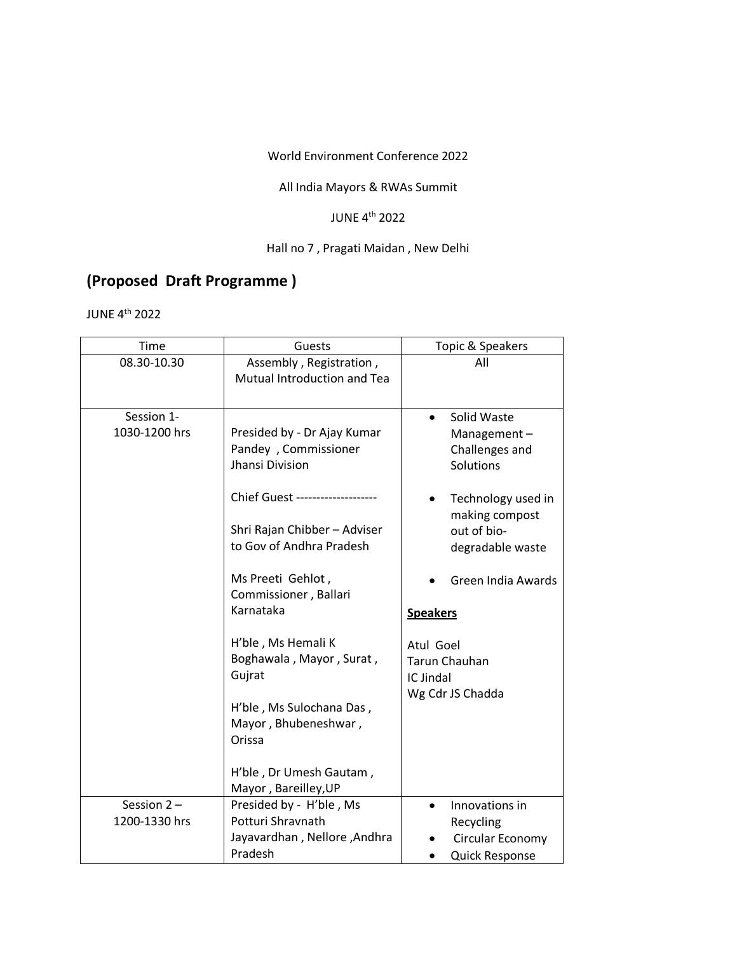World Environment Conference 2022

## All India Mayors & RWAs Summit

## JUNE 4th 2022

## Hall no 7 , Pragati Maidan , New Delhi

## **(Proposed Draft Programme )**

JUNE 4th 2022

| Time                           | Guests                                                                                                                                                                                                                                                                                                                                                                         | Topic & Speakers                                                                                                                                                                                                                                                 |
|--------------------------------|--------------------------------------------------------------------------------------------------------------------------------------------------------------------------------------------------------------------------------------------------------------------------------------------------------------------------------------------------------------------------------|------------------------------------------------------------------------------------------------------------------------------------------------------------------------------------------------------------------------------------------------------------------|
| 08.30-10.30                    | Assembly, Registration,<br><b>Mutual Introduction and Tea</b>                                                                                                                                                                                                                                                                                                                  | All                                                                                                                                                                                                                                                              |
| Session 1-<br>1030-1200 hrs    | Presided by - Dr Ajay Kumar<br>Pandey, Commissioner<br>Jhansi Division<br>Chief Guest ------------<br>Shri Rajan Chibber - Adviser<br>to Gov of Andhra Pradesh<br>Ms Preeti Gehlot,<br>Commissioner, Ballari<br>Karnataka<br>H'ble, Ms Hemali K<br>Boghawala, Mayor, Surat,<br>Gujrat<br>H'ble, Ms Sulochana Das,<br>Mayor, Bhubeneshwar,<br>Orissa<br>H'ble, Dr Umesh Gautam, | Solid Waste<br>$\bullet$<br>Management-<br>Challenges and<br>Solutions<br>Technology used in<br>making compost<br>out of bio-<br>degradable waste<br>Green India Awards<br><b>Speakers</b><br>Atul Goel<br><b>Tarun Chauhan</b><br>IC Jindal<br>Wg Cdr JS Chadda |
| Session $2 -$<br>1200-1330 hrs | Mayor, Bareilley, UP<br>Presided by - H'ble, Ms<br>Potturi Shravnath<br>Jayavardhan, Nellore, Andhra<br>Pradesh                                                                                                                                                                                                                                                                | Innovations in<br>$\bullet$<br>Recycling<br>Circular Economy<br><b>Quick Response</b>                                                                                                                                                                            |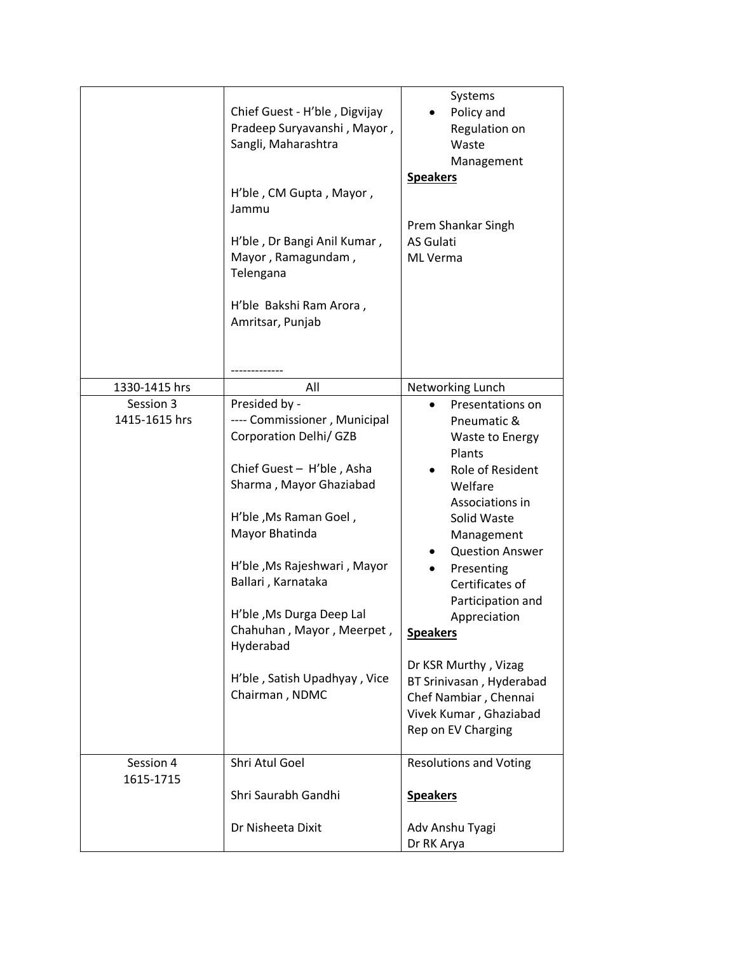|                            | Chief Guest - H'ble, Digvijay<br>Pradeep Suryavanshi, Mayor,<br>Sangli, Maharashtra<br>H'ble, CM Gupta, Mayor,<br>Jammu<br>H'ble, Dr Bangi Anil Kumar,<br>Mayor, Ramagundam,<br>Telengana<br>H'ble Bakshi Ram Arora,<br>Amritsar, Punjab                                                                                                                       | Systems<br>Policy and<br>Regulation on<br>Waste<br>Management<br><b>Speakers</b><br>Prem Shankar Singh<br>AS Gulati<br>ML Verma                                                                                                                                                                                                                                                             |
|----------------------------|----------------------------------------------------------------------------------------------------------------------------------------------------------------------------------------------------------------------------------------------------------------------------------------------------------------------------------------------------------------|---------------------------------------------------------------------------------------------------------------------------------------------------------------------------------------------------------------------------------------------------------------------------------------------------------------------------------------------------------------------------------------------|
| 1330-1415 hrs              | All                                                                                                                                                                                                                                                                                                                                                            | Networking Lunch                                                                                                                                                                                                                                                                                                                                                                            |
| Session 3<br>1415-1615 hrs | Presided by -<br>---- Commissioner, Municipal<br><b>Corporation Delhi/ GZB</b><br>Chief Guest - H'ble, Asha<br>Sharma, Mayor Ghaziabad<br>H'ble, Ms Raman Goel,<br>Mayor Bhatinda<br>H'ble, Ms Rajeshwari, Mayor<br>Ballari, Karnataka<br>H'ble, Ms Durga Deep Lal<br>Chahuhan, Mayor, Meerpet,<br>Hyderabad<br>H'ble, Satish Upadhyay, Vice<br>Chairman, NDMC | Presentations on<br>Pneumatic &<br>Waste to Energy<br>Plants<br>Role of Resident<br>Welfare<br>Associations in<br>Solid Waste<br>Management<br><b>Question Answer</b><br>Presenting<br>Certificates of<br>Participation and<br>Appreciation<br><b>Speakers</b><br>Dr KSR Murthy, Vizag<br>BT Srinivasan, Hyderabad<br>Chef Nambiar, Chennai<br>Vivek Kumar, Ghaziabad<br>Rep on EV Charging |
| Session 4<br>1615-1715     | Shri Atul Goel<br>Shri Saurabh Gandhi                                                                                                                                                                                                                                                                                                                          | <b>Resolutions and Voting</b><br><b>Speakers</b>                                                                                                                                                                                                                                                                                                                                            |
|                            | Dr Nisheeta Dixit                                                                                                                                                                                                                                                                                                                                              | Adv Anshu Tyagi<br>Dr RK Arya                                                                                                                                                                                                                                                                                                                                                               |